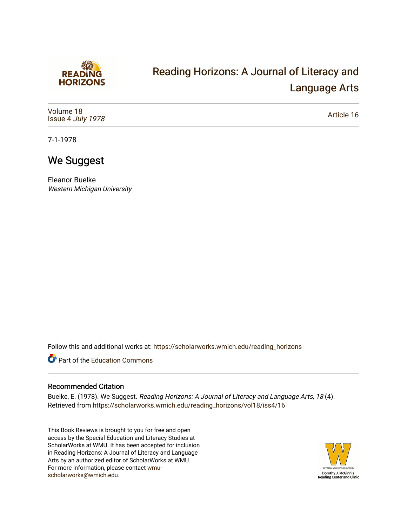

# [Reading Horizons: A Journal of Literacy and](https://scholarworks.wmich.edu/reading_horizons)  [Language Arts](https://scholarworks.wmich.edu/reading_horizons)

[Volume 18](https://scholarworks.wmich.edu/reading_horizons/vol18) Issue 4 [July 1978](https://scholarworks.wmich.edu/reading_horizons/vol18/iss4)

[Article 16](https://scholarworks.wmich.edu/reading_horizons/vol18/iss4/16) 

7-1-1978

## We Suggest

Eleanor Buelke Western Michigan University

Follow this and additional works at: [https://scholarworks.wmich.edu/reading\\_horizons](https://scholarworks.wmich.edu/reading_horizons?utm_source=scholarworks.wmich.edu%2Freading_horizons%2Fvol18%2Fiss4%2F16&utm_medium=PDF&utm_campaign=PDFCoverPages)

Part of the [Education Commons](http://network.bepress.com/hgg/discipline/784?utm_source=scholarworks.wmich.edu%2Freading_horizons%2Fvol18%2Fiss4%2F16&utm_medium=PDF&utm_campaign=PDFCoverPages)

#### Recommended Citation

Buelke, E. (1978). We Suggest. Reading Horizons: A Journal of Literacy and Language Arts, 18 (4). Retrieved from [https://scholarworks.wmich.edu/reading\\_horizons/vol18/iss4/16](https://scholarworks.wmich.edu/reading_horizons/vol18/iss4/16?utm_source=scholarworks.wmich.edu%2Freading_horizons%2Fvol18%2Fiss4%2F16&utm_medium=PDF&utm_campaign=PDFCoverPages)

This Book Reviews is brought to you for free and open access by the Special Education and Literacy Studies at ScholarWorks at WMU. It has been accepted for inclusion in Reading Horizons: A Journal of Literacy and Language Arts by an authorized editor of ScholarWorks at WMU. For more information, please contact [wmu](mailto:wmu-scholarworks@wmich.edu)[scholarworks@wmich.edu.](mailto:wmu-scholarworks@wmich.edu)

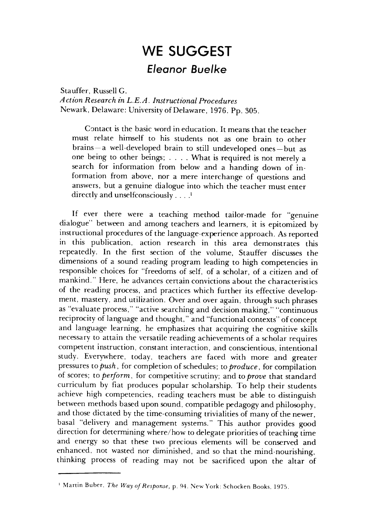### *WE SUGGEST* **WE SUGGEST**  *Eleanor Buelke Eleanor Buelke*

Stauffer, Russell G. Stauffer, Russell G. **A ction Research in LEA. Instructional Procedures** *A ction Research in L.E.A. Instructional Procedures*  Newark, Delaware: University of Delaware, 1976. Pp. 305.

Newark, Delaware: University of Delaware, 1976. Pp. 305.<br>Contact is the basic word in education. It means that the teacher must relate himself to his students not as one brain to other must relate himself to his students not as one brain to other brains-a well-developed brain to still undeveloped ones-but as one being to other beings; .... What is required is not merely <sup>a</sup> one being to other beings; .... What is required is not merely a search for information from below and a handing down of in search for information from below and a handing down of information from above, nor a mere interchange of questions and formation from above, nor a mere interchange of questions and answers, but a genuine dialogue into which the teacher must enter answers, but a genuine dialogue into which the teacher must enter directly and unselfconsciously . . . .' directly and unselfconsciously .... '

If ever there were a teaching method tailor-made for "genuine If ever there were a teaching method tailor-made for "genuine dialogue" between and among teachers and learners, it is epitomized by dialogue" between and among teachers and learners, it is epitomized by instructional procedures of the language-experience approach. As reported instructional procedures of the language-experience approach. As reported in this publication, action research in this area demonstrates this in this publication, action research in this area demonstrates this repeatedly. In the first section of the volume, Stauffer discusses the repeatedly. In the first section of the volume, Stauffer discusses the dimensions of a sound reading program leading to high competencies in dimensions of a sound reading program leading to high competencies in responsible choices for "freedoms of self, of a scholar, of a citizen and of responsible choices for "freedoms self, of a scholar, of a citizen and of mankind." Here, he advances certain convictions about the characteristics mankind." Here, he advances certain convictions about the characteristics of the reading process, and practices which further its effective develop of the reading process, and practices which further its effective development, mastery, and utilization. Over and over again, through such phrases as "evaluate process," "active searching and decision making," "continuous reciprocity of language and thought," and "functional contexts" of concept and language learning, he emphasizes that acquiring the cognitive skills and language learning, he emphasizes that acquiring the cognitive skills necessary to attain the versatile reading achievements of a scholar requires necessary to attain the versatile reading achievements of a scholar requires competent instruction, constant interaction, and conscientious, intentional competent instruction, constant interaction, and conscientious, intentional study. Everywhere, today, teachers are faced with more and greater study. Everywhere, today, teachers are faced with more and greater pressures **topush,** for completion ofschedules; to**produce,** for compilation pressures to *push,* for completion of schedules; to *produce,* for compilation of scores; to *perform*, for competitive scrutiny; and to *prove* that standard curriculum by fiat produces popular scholarship. To help their students curriculum by fiat produces popular scholarship. To help their students achieve high competencies, reading teachers must be able to distinguish achieve high competencies, reading teachers must be able to distinguish between methods based uponsound, compatible pedagogy and philosophy, between methods based upon sound, compatible pedagogy and philosophy, and those dictated by the time-consuming trivialities of many of the newer, and those dictated by the time-consuming trivialities of many of the newer, basal "delivery and management systems." This author provides good basal "delivery and management systems." This author provides good direction for determining where/how to delegate priorities of teaching time and energy so that these two precious elements will be conserved and and energy so that these two precious elements will be conserved and enhanced, not wasted nor diminished, and so that the mind-nourishing, enhanced, not wasted nor diminished, and so that the mind-nourishing, thinking process of reading may not be sacrificed upon the altar of thinking process of reading may not be sacrificed upon the altar of

Martin Buber. The Way of Response, p. 94. New York: Schocken Books, 1975.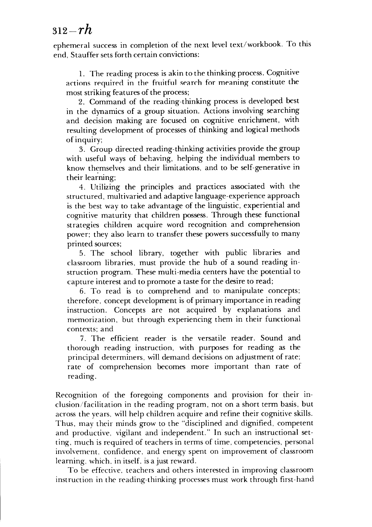### 3i2-r/i *312-rh*

ephemeral success in completion of the next level text/workbook. To this ephemeral success in completion of the next level text/workbook. To this end, Stauffer sets forth certain convictions: end, Stauffer sets forth certain convictions:

1. The reading process is akin to the thinking process. Cognitive actions required in the fruitful search for meaning constitute the most striking features of the process; most striking features of the process;

2. Command of the reading-thinking process is developed best 2. Command of the reading-thinking process is developed best in the dynamics of a group situation. Actions involving searching in the dynamics of a group situation. Actions involving searching and decision making are focused on cognitive enrichment, with and decision making are focused on cognitive enrichment, with resulting development of processes of thinking and logical methods resulting development of processes of thinking and logical methods of inquiry; of inquiry;

3. Group directed reading-thinking activities provide the group 3. Group directed reading-thinking activities provide the group with useful ways of behaving, helping the individual members to with useful ways of behaving, helping the individual members to know themselves and their limitations, and to be self-generative in know themselves and their limitations, and to be self-generative in their learning;

4. Utilizing the principles and practices associated with the 4. Utilizing the principles and practices associated with the structured, multivaried and adaptive language-experience approach structured, multivaried and adaptive language-experience approach is the best way to take advantage of the linguistic, experiential and is the best way to take advantage of the linguistic, experiential and cognitive maturity that children possess. Through these functional cognitive maturity that children possess. Through these functional strategies children acquire word recognition and comprehension strategies children acquire word recognition and comprehension power; they also learn to transfer these powers successfully to many printed sources; printed sources;

5. The school library, together with public libraries and 5. The school library, together with public libraries and classroom libraries, must provide the hub of a sound reading in classroom libraries, must provide the hub a sound reading instruction program. These multi-media centers have the potential to struction program. These multi-media centers have the potential to capture interest and to promote a taste for the desire to read; capture interest and to promote a taste for the desire to read;

6. To read is to comprehend and to manipulate concepts; 6. To read is to comprehend and to manipulate concepts; therefore, concept development is of primary importance in reading therefore, concept development is of primary importance in reading instruction. Concepts are not acquired by explanations and instruction. Concepts are not acquired by explanations and memorization, but through experiencing them in their functional memorization, but through experiencing them in their functional contexts; and contexts; and

7. The efficient reader is the versatile reader. Sound and 7. The efficient reader is the versatile reader. Sound and thorough reading instruction, with purposes for reading as the thorough reading instruction, with purposes for reading as the principal determiners, will demand decisions on adjustment of rate; principal determiners, will demand decisions on adjustment of rate; rate of comprehension becomes more important than rate of reading. reading.

Recognition of the foregoing components and provision for their inclusion/facilitation in the reading program, not on a short term basis, but clusion/facilitation in the reading program, not on a short tenn basis, but across the years, will help children acquire and refine their cognitive skills. across the years, will help children acquire and refine their cognitive skills.<br>Thus, may their minds grow to the "disciplined and dignified, competent and productive, vigilant and independent." In such an instructional set and productive, vigilant and independent." In such an instructional setting, much is required of teachers in terms of time, competencies, personal ting, much is required of teachers in tenns of time, competencies, personal involvement, confidence, and energy spent on improvement of classroom involvement. confidence, and energy spent on improvement of classroom learning, which, in itself, is a just reward. learning, which, in itself. is a just reward.

To be effective, teachers and others interested in improving classroom To be effective. teachers and others interested in improving classroom instruction in the reading-thinking processes must work through first-hand instruction in the reading-thinking processes must work through first-hand